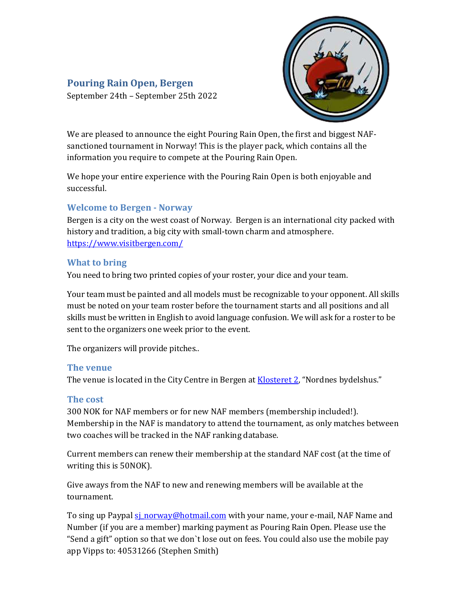# Pouring Rain Open, Bergen

September 24th – September 25th 2022



We are pleased to announce the eight Pouring Rain Open, the first and biggest NAFsanctioned tournament in Norway! This is the player pack, which contains all the information you require to compete at the Pouring Rain Open.

We hope your entire experience with the Pouring Rain Open is both enjoyable and successful.

## Welcome to Bergen - Norway

Bergen is a city on the west coast of Norway. Bergen is an international city packed with history and tradition, a big city with small-town charm and atmosphere. https://www.visitbergen.com/

#### What to bring

You need to bring two printed copies of your roster, your dice and your team.

Your team must be painted and all models must be recognizable to your opponent. All skills must be noted on your team roster before the tournament starts and all positions and all skills must be written in English to avoid language confusion. We will ask for a roster to be sent to the organizers one week prior to the event.

The organizers will provide pitches..

#### The venue

The venue is located in the City Centre in Bergen at Klosteret 2, "Nordnes bydelshus."

#### The cost

300 NOK for NAF members or for new NAF members (membership included!). Membership in the NAF is mandatory to attend the tournament, as only matches between two coaches will be tracked in the NAF ranking database.

Current members can renew their membership at the standard NAF cost (at the time of writing this is 50NOK).

Give aways from the NAF to new and renewing members will be available at the tournament.

To sing up Paypal si norway@hotmail.com with your name, your e-mail, NAF Name and Number (if you are a member) marking payment as Pouring Rain Open. Please use the "Send a gift" option so that we don`t lose out on fees. You could also use the mobile pay app Vipps to: 40531266 (Stephen Smith)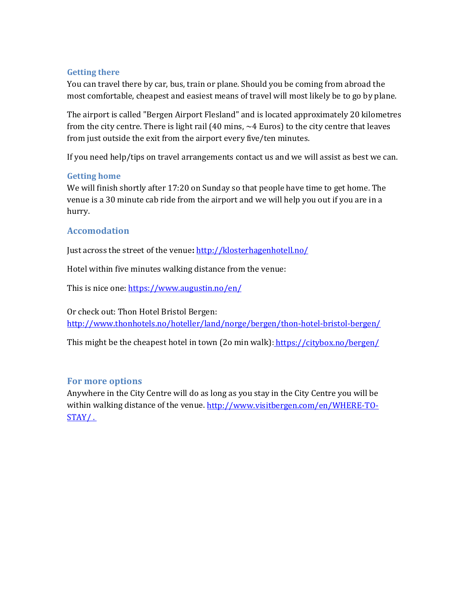## Getting there

You can travel there by car, bus, train or plane. Should you be coming from abroad the most comfortable, cheapest and easiest means of travel will most likely be to go by plane.

The airport is called "Bergen Airport Flesland" and is located approximately 20 kilometres from the city centre. There is light rail (40 mins, ~4 Euros) to the city centre that leaves from just outside the exit from the airport every five/ten minutes.

If you need help/tips on travel arrangements contact us and we will assist as best we can.

## Getting home

We will finish shortly after 17:20 on Sunday so that people have time to get home. The venue is a 30 minute cab ride from the airport and we will help you out if you are in a hurry.

# Accomodation

Just across the street of the venue: http://klosterhagenhotell.no/

Hotel within five minutes walking distance from the venue:

This is nice one: https://www.augustin.no/en/

Or check out: Thon Hotel Bristol Bergen: http://www.thonhotels.no/hoteller/land/norge/bergen/thon-hotel-bristol-bergen/

This might be the cheapest hotel in town (20 min walk): https://citybox.no/bergen/

# For more options

Anywhere in the City Centre will do as long as you stay in the City Centre you will be within walking distance of the venue. http://www.visitbergen.com/en/WHERE-TO-STAY/ .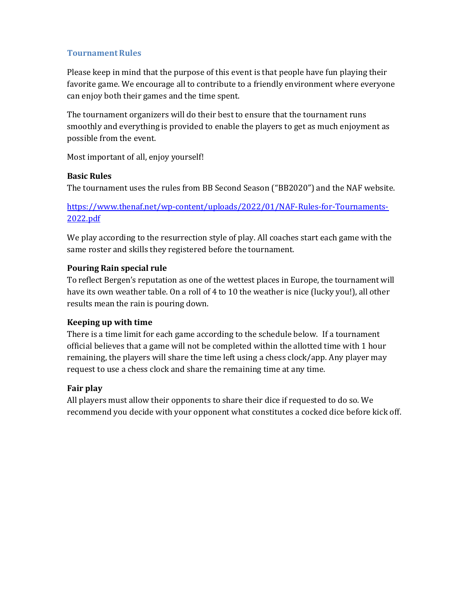# Tournament Rules

Please keep in mind that the purpose of this event is that people have fun playing their favorite game. We encourage all to contribute to a friendly environment where everyone can enjoy both their games and the time spent.

The tournament organizers will do their best to ensure that the tournament runs smoothly and everything is provided to enable the players to get as much enjoyment as possible from the event.

Most important of all, enjoy yourself!

## Basic Rules

The tournament uses the rules from BB Second Season ("BB2020") and the NAF website.

https://www.thenaf.net/wp-content/uploads/2022/01/NAF-Rules-for-Tournaments-2022.pdf

We play according to the resurrection style of play. All coaches start each game with the same roster and skills they registered before the tournament.

## Pouring Rain special rule

To reflect Bergen's reputation as one of the wettest places in Europe, the tournament will have its own weather table. On a roll of 4 to 10 the weather is nice (lucky you!), all other results mean the rain is pouring down.

# Keeping up with time

There is a time limit for each game according to the schedule below. If a tournament official believes that a game will not be completed within the allotted time with 1 hour remaining, the players will share the time left using a chess clock/app. Any player may request to use a chess clock and share the remaining time at any time.

# Fair play

All players must allow their opponents to share their dice if requested to do so. We recommend you decide with your opponent what constitutes a cocked dice before kick off.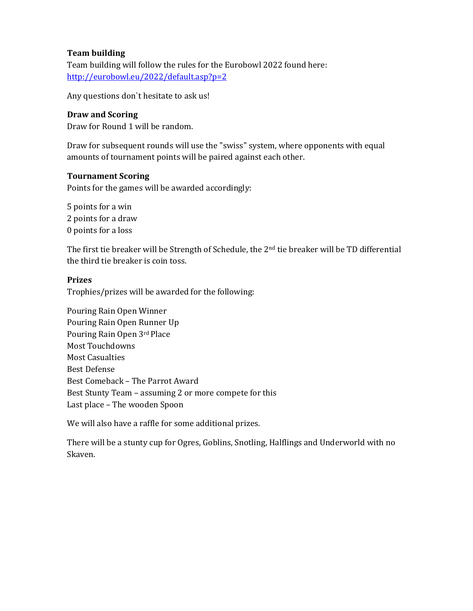## Team building

Team building will follow the rules for the Eurobowl 2022 found here: http://eurobowl.eu/2022/default.asp?p=2

Any questions don`t hesitate to ask us!

## Draw and Scoring

Draw for Round 1 will be random.

Draw for subsequent rounds will use the "swiss" system, where opponents with equal amounts of tournament points will be paired against each other.

#### Tournament Scoring

Points for the games will be awarded accordingly:

5 points for a win 2 points for a draw 0 points for a loss

The first tie breaker will be Strength of Schedule, the 2<sup>nd</sup> tie breaker will be TD differential the third tie breaker is coin toss.

## Prizes

Trophies/prizes will be awarded for the following:

Pouring Rain Open Winner Pouring Rain Open Runner Up Pouring Rain Open 3rd Place Most Touchdowns Most Casualties Best Defense Best Comeback – The Parrot Award Best Stunty Team – assuming 2 or more compete for this Last place – The wooden Spoon

We will also have a raffle for some additional prizes.

There will be a stunty cup for Ogres, Goblins, Snotling, Halflings and Underworld with no Skaven.